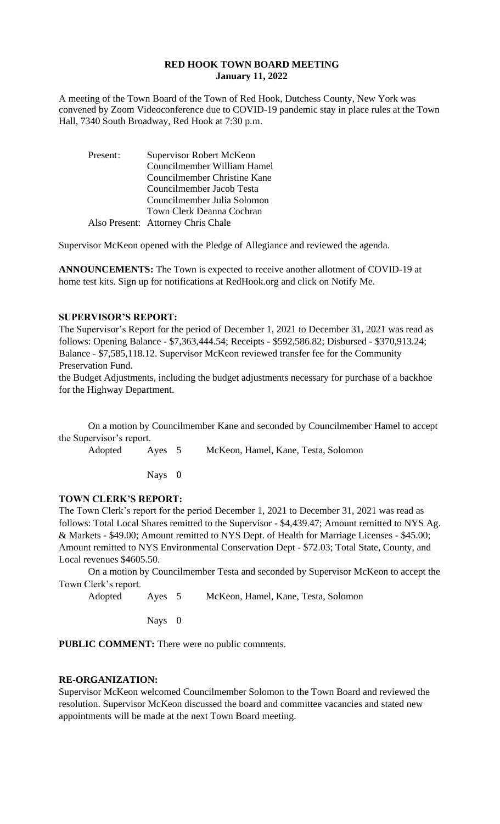## **RED HOOK TOWN BOARD MEETING January 11, 2022**

A meeting of the Town Board of the Town of Red Hook, Dutchess County, New York was convened by Zoom Videoconference due to COVID-19 pandemic stay in place rules at the Town Hall, 7340 South Broadway, Red Hook at 7:30 p.m.

| Present: | Supervisor Robert McKeon           |
|----------|------------------------------------|
|          | Councilmember William Hamel        |
|          | Councilmember Christine Kane       |
|          | Councilmember Jacob Testa          |
|          | Councilmember Julia Solomon        |
|          | Town Clerk Deanna Cochran          |
|          | Also Present: Attorney Chris Chale |

Supervisor McKeon opened with the Pledge of Allegiance and reviewed the agenda.

**ANNOUNCEMENTS:** The Town is expected to receive another allotment of COVID-19 at home test kits. Sign up for notifications at RedHook.org and click on Notify Me.

## **SUPERVISOR'S REPORT:**

The Supervisor's Report for the period of December 1, 2021 to December 31, 2021 was read as follows: Opening Balance - \$7,363,444.54; Receipts - \$592,586.82; Disbursed - \$370,913.24; Balance - \$7,585,118.12. Supervisor McKeon reviewed transfer fee for the Community Preservation Fund.

the Budget Adjustments, including the budget adjustments necessary for purchase of a backhoe for the Highway Department.

On a motion by Councilmember Kane and seconded by Councilmember Hamel to accept the Supervisor's report.

Adopted Ayes 5 McKeon, Hamel, Kane, Testa, Solomon

Nays 0

## **TOWN CLERK'S REPORT:**

The Town Clerk's report for the period December 1, 2021 to December 31, 2021 was read as follows: Total Local Shares remitted to the Supervisor - \$4,439.47; Amount remitted to NYS Ag. & Markets - \$49.00; Amount remitted to NYS Dept. of Health for Marriage Licenses - \$45.00; Amount remitted to NYS Environmental Conservation Dept - \$72.03; Total State, County, and Local revenues \$4605.50.

On a motion by Councilmember Testa and seconded by Supervisor McKeon to accept the Town Clerk's report.

Adopted Ayes 5 McKeon, Hamel, Kane, Testa, Solomon

Nays 0

**PUBLIC COMMENT:** There were no public comments.

#### **RE-ORGANIZATION:**

Supervisor McKeon welcomed Councilmember Solomon to the Town Board and reviewed the resolution. Supervisor McKeon discussed the board and committee vacancies and stated new appointments will be made at the next Town Board meeting.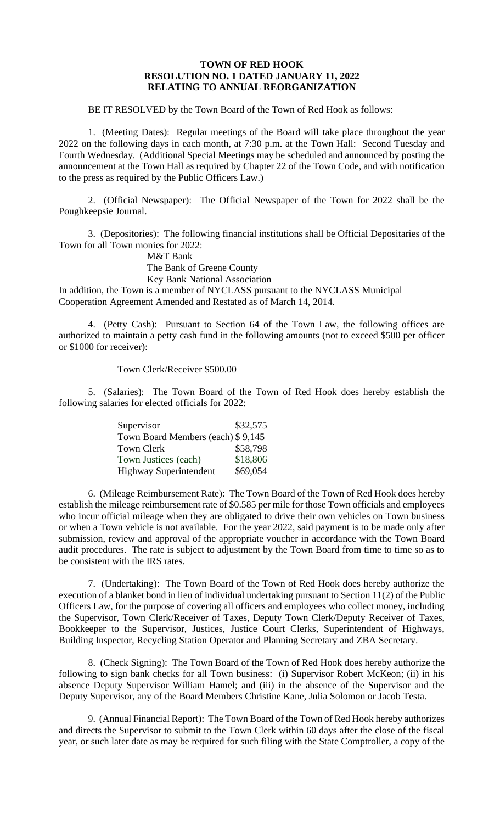## **TOWN OF RED HOOK RESOLUTION NO. 1 DATED JANUARY 11, 2022 RELATING TO ANNUAL REORGANIZATION**

BE IT RESOLVED by the Town Board of the Town of Red Hook as follows:

1. (Meeting Dates): Regular meetings of the Board will take place throughout the year 2022 on the following days in each month, at 7:30 p.m. at the Town Hall: Second Tuesday and Fourth Wednesday. (Additional Special Meetings may be scheduled and announced by posting the announcement at the Town Hall as required by Chapter 22 of the Town Code, and with notification to the press as required by the Public Officers Law.)

2. (Official Newspaper): The Official Newspaper of the Town for 2022 shall be the Poughkeepsie Journal.

3. (Depositories): The following financial institutions shall be Official Depositaries of the Town for all Town monies for 2022:

M&T Bank

The Bank of Greene County

Key Bank National Association

In addition, the Town is a member of NYCLASS pursuant to the NYCLASS Municipal Cooperation Agreement Amended and Restated as of March 14, 2014.

4. (Petty Cash): Pursuant to Section 64 of the Town Law, the following offices are authorized to maintain a petty cash fund in the following amounts (not to exceed \$500 per officer or \$1000 for receiver):

Town Clerk/Receiver \$500.00

5. (Salaries): The Town Board of the Town of Red Hook does hereby establish the following salaries for elected officials for 2022:

| Supervisor                        | \$32,575 |
|-----------------------------------|----------|
| Town Board Members (each) \$9,145 |          |
| <b>Town Clerk</b>                 | \$58,798 |
| Town Justices (each)              | \$18,806 |
| <b>Highway Superintendent</b>     | \$69,054 |

6. (Mileage Reimbursement Rate): The Town Board of the Town of Red Hook does hereby establish the mileage reimbursement rate of \$0.585 per mile for those Town officials and employees who incur official mileage when they are obligated to drive their own vehicles on Town business or when a Town vehicle is not available. For the year 2022, said payment is to be made only after submission, review and approval of the appropriate voucher in accordance with the Town Board audit procedures. The rate is subject to adjustment by the Town Board from time to time so as to be consistent with the IRS rates.

7. (Undertaking): The Town Board of the Town of Red Hook does hereby authorize the execution of a blanket bond in lieu of individual undertaking pursuant to Section 11(2) of the Public Officers Law, for the purpose of covering all officers and employees who collect money, including the Supervisor, Town Clerk/Receiver of Taxes, Deputy Town Clerk/Deputy Receiver of Taxes, Bookkeeper to the Supervisor, Justices, Justice Court Clerks, Superintendent of Highways, Building Inspector, Recycling Station Operator and Planning Secretary and ZBA Secretary.

8. (Check Signing): The Town Board of the Town of Red Hook does hereby authorize the following to sign bank checks for all Town business: (i) Supervisor Robert McKeon; (ii) in his absence Deputy Supervisor William Hamel; and (iii) in the absence of the Supervisor and the Deputy Supervisor, any of the Board Members Christine Kane, Julia Solomon or Jacob Testa.

9. (Annual Financial Report): The Town Board of the Town of Red Hook hereby authorizes and directs the Supervisor to submit to the Town Clerk within 60 days after the close of the fiscal year, or such later date as may be required for such filing with the State Comptroller, a copy of the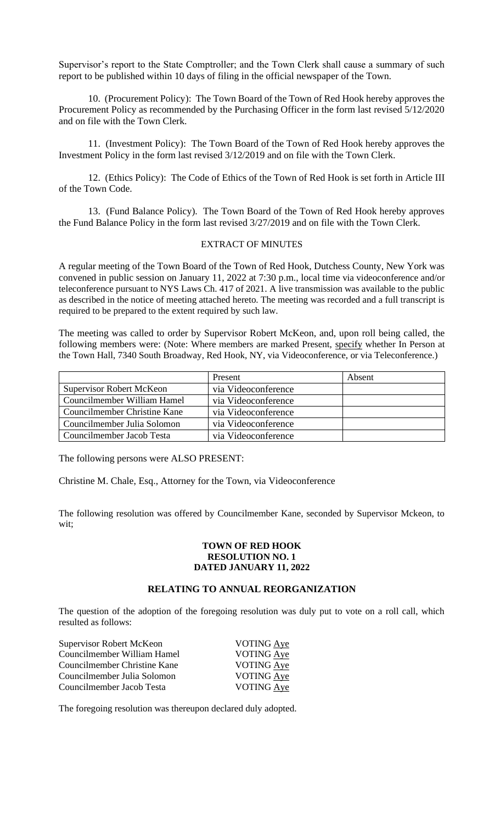Supervisor's report to the State Comptroller; and the Town Clerk shall cause a summary of such report to be published within 10 days of filing in the official newspaper of the Town.

10. (Procurement Policy): The Town Board of the Town of Red Hook hereby approves the Procurement Policy as recommended by the Purchasing Officer in the form last revised 5/12/2020 and on file with the Town Clerk.

11. (Investment Policy): The Town Board of the Town of Red Hook hereby approves the Investment Policy in the form last revised 3/12/2019 and on file with the Town Clerk.

12. (Ethics Policy): The Code of Ethics of the Town of Red Hook is set forth in Article III of the Town Code.

13. (Fund Balance Policy). The Town Board of the Town of Red Hook hereby approves the Fund Balance Policy in the form last revised 3/27/2019 and on file with the Town Clerk.

### EXTRACT OF MINUTES

A regular meeting of the Town Board of the Town of Red Hook, Dutchess County, New York was convened in public session on January 11, 2022 at 7:30 p.m., local time via videoconference and/or teleconference pursuant to NYS Laws Ch. 417 of 2021. A live transmission was available to the public as described in the notice of meeting attached hereto. The meeting was recorded and a full transcript is required to be prepared to the extent required by such law.

The meeting was called to order by Supervisor Robert McKeon, and, upon roll being called, the following members were: (Note: Where members are marked Present, specify whether In Person at the Town Hall, 7340 South Broadway, Red Hook, NY, via Videoconference, or via Teleconference.)

|                                 | Present             | Absent |
|---------------------------------|---------------------|--------|
| <b>Supervisor Robert McKeon</b> | via Videoconference |        |
| Councilmember William Hamel     | via Videoconference |        |
| Councilmember Christine Kane    | via Videoconference |        |
| Councilmember Julia Solomon     | via Videoconference |        |
| Councilmember Jacob Testa       | via Videoconference |        |

The following persons were ALSO PRESENT:

Christine M. Chale, Esq., Attorney for the Town, via Videoconference

The following resolution was offered by Councilmember Kane, seconded by Supervisor Mckeon, to wit;

### **TOWN OF RED HOOK RESOLUTION NO. 1 DATED JANUARY 11, 2022**

### **RELATING TO ANNUAL REORGANIZATION**

The question of the adoption of the foregoing resolution was duly put to vote on a roll call, which resulted as follows:

| <b>VOTING Aye</b> |
|-------------------|
| <b>VOTING Aye</b> |
| VOTING Aye        |
| <b>VOTING Aye</b> |
| VOTING Aye        |
|                   |

The foregoing resolution was thereupon declared duly adopted.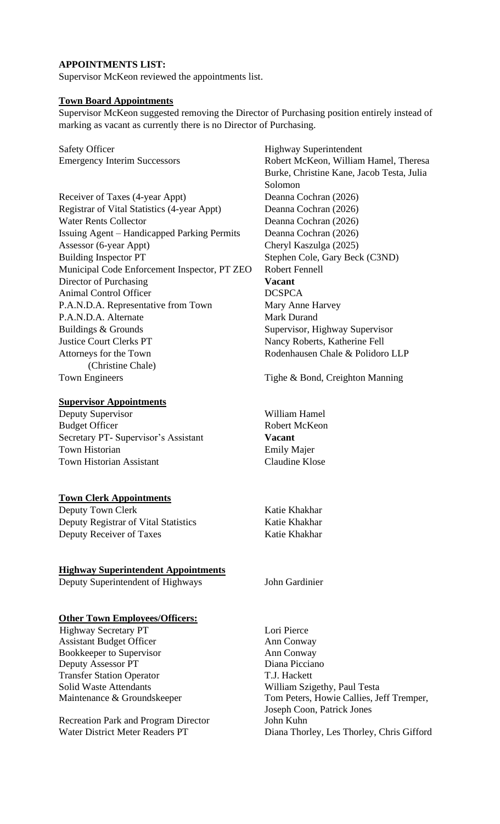## **APPOINTMENTS LIST:**

Supervisor McKeon reviewed the appointments list.

## **Town Board Appointments**

Supervisor McKeon suggested removing the Director of Purchasing position entirely instead of marking as vacant as currently there is no Director of Purchasing.

Safety Officer Highway Superintendent

Receiver of Taxes (4-year Appt) Deanna Cochran (2026) Registrar of Vital Statistics (4-year Appt) Deanna Cochran (2026) Water Rents Collector Deanna Cochran (2026) Issuing Agent – Handicapped Parking Permits Deanna Cochran (2026) Assessor (6-year Appt) Cheryl Kaszulga (2025) Building Inspector PT Stephen Cole, Gary Beck (C3ND) Municipal Code Enforcement Inspector, PT ZEO Robert Fennell Director of Purchasing **Vacant** Animal Control Officer DCSPCA P.A.N.D.A. Representative from Town Mary Anne Harvey P.A.N.D.A. Alternate Mark Durand Buildings & Grounds Supervisor, Highway Supervisor Justice Court Clerks PT Nancy Roberts, Katherine Fell Attorneys for the Town Rodenhausen Chale & Polidoro LLP (Christine Chale) Town Engineers Tighe & Bond, Creighton Manning

### **Supervisor Appointments**

Deputy Supervisor William Hamel Budget Officer Robert McKeon Secretary PT- Supervisor's Assistant **Vacant** Town Historian Emily Majer Town Historian Assistant Claudine Klose

## **Town Clerk Appointments**

Deputy Town Clerk Katie Khakhar Deputy Registrar of Vital Statistics Katie Khakhar Deputy Receiver of Taxes Katie Khakhar

## **Highway Superintendent Appointments**

Deputy Superintendent of Highways John Gardinier

# **Other Town Employees/Officers:**

Highway Secretary PT Lori Pierce Assistant Budget Officer Ann Conway Bookkeeper to Supervisor **Ann** Conway Deputy Assessor PT Diana Picciano Transfer Station Operator T.J. Hackett Solid Waste Attendants William Szigethy, Paul Testa

Recreation Park and Program Director John Kuhn Water District Meter Readers PT Diana Thorley, Les Thorley, Chris Gifford

Emergency Interim Successors Robert McKeon, William Hamel, Theresa Burke, Christine Kane, Jacob Testa, Julia Solomon

Maintenance & Groundskeeper Tom Peters, Howie Callies, Jeff Tremper, Joseph Coon, Patrick Jones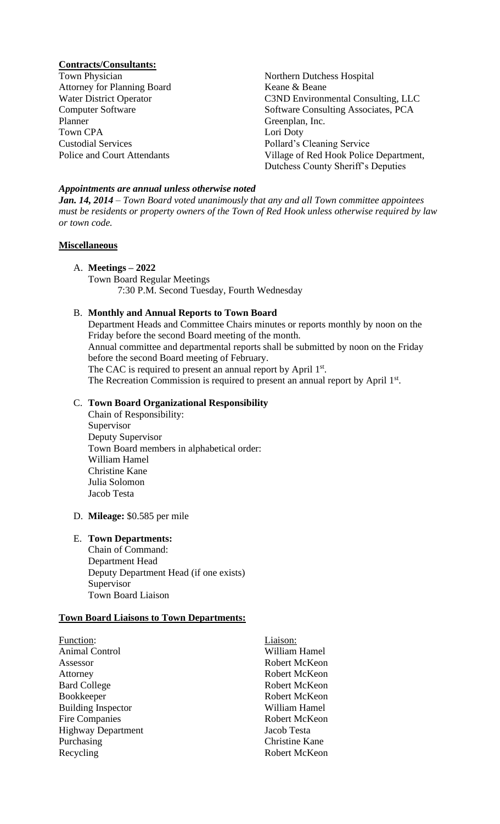### **Contracts/Consultants:**

Town Physician Northern Dutchess Hospital Attorney for Planning Board Keane & Beane Planner Greenplan, Inc. Town CPA Lori Doty Custodial Services Pollard's Cleaning Service

Water District Operator C3ND Environmental Consulting, LLC Computer Software Software Software Consulting Associates, PCA Police and Court Attendants Village of Red Hook Police Department, Dutchess County Sheriff's Deputies

#### *Appointments are annual unless otherwise noted*

*Jan. 14, 2014 – Town Board voted unanimously that any and all Town committee appointees must be residents or property owners of the Town of Red Hook unless otherwise required by law or town code.*

### **Miscellaneous**

## A. **Meetings – 2022**

Town Board Regular Meetings 7:30 P.M. Second Tuesday, Fourth Wednesday

## B. **Monthly and Annual Reports to Town Board**

Department Heads and Committee Chairs minutes or reports monthly by noon on the Friday before the second Board meeting of the month. Annual committee and departmental reports shall be submitted by noon on the Friday before the second Board meeting of February. The CAC is required to present an annual report by April 1st. The Recreation Commission is required to present an annual report by April 1st.

## C. **Town Board Organizational Responsibility**

- Chain of Responsibility: Supervisor Deputy Supervisor Town Board members in alphabetical order: William Hamel Christine Kane Julia Solomon Jacob Testa
- D. **Mileage:** \$0.585 per mile

# E. **Town Departments:**

Chain of Command: Department Head Deputy Department Head (if one exists) Supervisor Town Board Liaison

#### **Town Board Liaisons to Town Departments:**

| <b>Function:</b>          | Liaison:              |
|---------------------------|-----------------------|
| <b>Animal Control</b>     | William Hamel         |
| Assessor                  | Robert McKeon         |
| Attorney                  | Robert McKeon         |
| <b>Bard College</b>       | Robert McKeon         |
| <b>Bookkeeper</b>         | Robert McKeon         |
| <b>Building Inspector</b> | William Hamel         |
| Fire Companies            | Robert McKeon         |
| <b>Highway Department</b> | Jacob Testa           |
| Purchasing                | <b>Christine Kane</b> |
| Recycling                 | Robert McKeon         |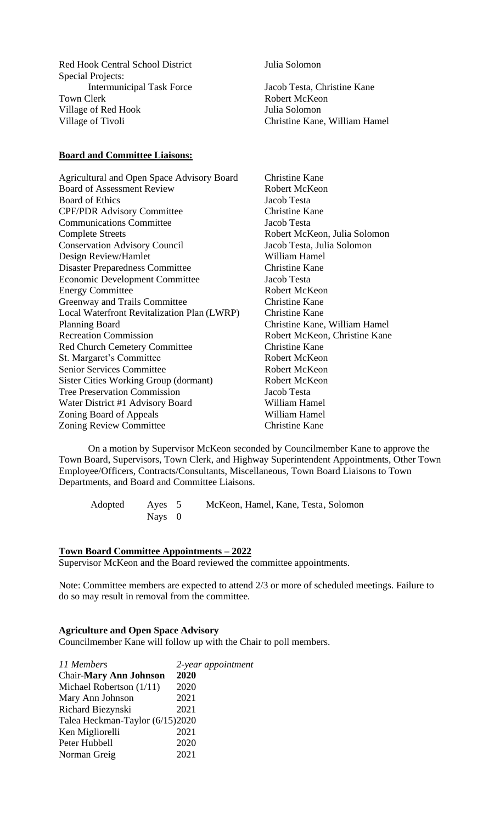Red Hook Central School District Julia Solomon Special Projects: Intermunicipal Task Force Jacob Testa, Christine Kane Town Clerk **Robert McKeon** Village of Red Hook Julia Solomon Village of Tivoli Christine Kane, William Hamel

### **Board and Committee Liaisons:**

Agricultural and Open Space Advisory Board Christine Kane **Board of Assessment Review Robert McKeon** Board of Ethics Jacob Testa CPF/PDR Advisory Committee Christine Kane Communications Committee Jacob Testa Complete Streets Robert McKeon, Julia Solomon Conservation Advisory Council Jacob Testa, Julia Solomon Design Review/Hamlet William Hamel Disaster Preparedness Committee Christine Kane<br>
Economic Development Committee Jacob Testa Economic Development Committee Energy Committee Robert McKeon Greenway and Trails Committee Christine Kane Local Waterfront Revitalization Plan (LWRP) Christine Kane Planning Board Christine Kane, William Hamel Recreation Commission Robert McKeon, Christine Kane Red Church Cemetery Committee Christine Kane St. Margaret's Committee Robert McKeon Senior Services Committee Robert McKeon Sister Cities Working Group (dormant) Robert McKeon Tree Preservation Commission Jacob Testa Water District #1 Advisory Board William Hamel Zoning Board of Appeals William Hamel Zoning Review Committee Christine Kane

On a motion by Supervisor McKeon seconded by Councilmember Kane to approve the Town Board, Supervisors, Town Clerk, and Highway Superintendent Appointments, Other Town Employee/Officers, Contracts/Consultants, Miscellaneous, Town Board Liaisons to Town Departments, and Board and Committee Liaisons.

Adopted Ayes 5 McKeon, Hamel, Kane, Testa, Solomon Nays 0

### **Town Board Committee Appointments – 2022**

Supervisor McKeon and the Board reviewed the committee appointments.

Note: Committee members are expected to attend 2/3 or more of scheduled meetings. Failure to do so may result in removal from the committee*.*

#### **Agriculture and Open Space Advisory**

Councilmember Kane will follow up with the Chair to poll members.

| 11 Members                      | 2-year appointment |
|---------------------------------|--------------------|
| <b>Chair-Mary Ann Johnson</b>   | 2020               |
| Michael Robertson $(1/11)$      | 2020               |
| Mary Ann Johnson                | 2021               |
| Richard Biezynski               | 2021               |
| Talea Heckman-Taylor (6/15)2020 |                    |
| Ken Migliorelli                 | 2021               |
| Peter Hubbell                   | 2020               |
| Norman Greig                    | 2021               |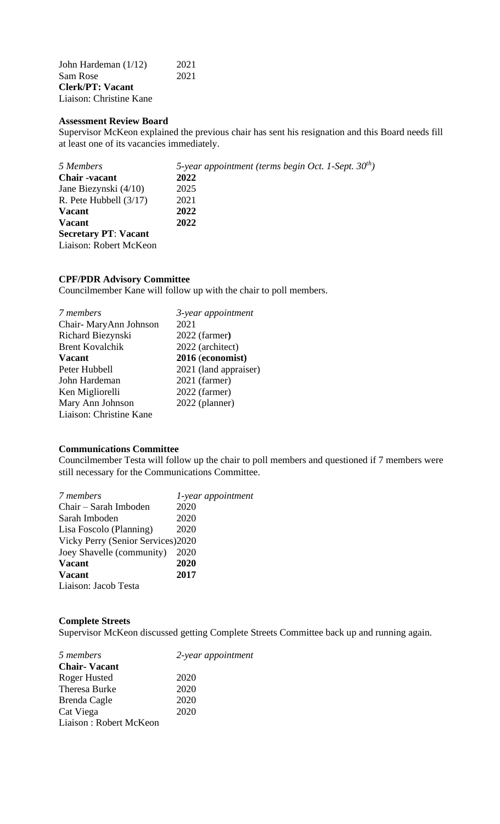John Hardeman (1/12) 2021 Sam Rose **Clerk/PT: Vacant** Liaison: Christine Kane

#### **Assessment Review Board**

Supervisor McKeon explained the previous chair has sent his resignation and this Board needs fill at least one of its vacancies immediately.

| 5 Members                   | 5-year appointment (terms begin Oct. 1-Sept. $30^{th}$ ) |
|-----------------------------|----------------------------------------------------------|
| <b>Chair</b> -vacant        | 2022                                                     |
| Jane Biezynski (4/10)       | 2025                                                     |
| R. Pete Hubbell $(3/17)$    | 2021                                                     |
| <b>Vacant</b>               | 2022                                                     |
| <b>Vacant</b>               | 2022                                                     |
| <b>Secretary PT: Vacant</b> |                                                          |
| Liaison: Robert McKeon      |                                                          |

#### **CPF/PDR Advisory Committee**

Councilmember Kane will follow up with the chair to poll members.

| 7 members               | 3-year appointment    |
|-------------------------|-----------------------|
| Chair-MaryAnn Johnson   | 2021                  |
| Richard Biezynski       | 2022 (farmer)         |
| <b>Brent Kovalchik</b>  | 2022 (architect)      |
| <b>Vacant</b>           | 2016 (economist)      |
| Peter Hubbell           | 2021 (land appraiser) |
| John Hardeman           | 2021 (farmer)         |
| Ken Migliorelli         | 2022 (farmer)         |
| Mary Ann Johnson        | 2022 (planner)        |
| Liaison: Christine Kane |                       |

# **Communications Committee**

Councilmember Testa will follow up the chair to poll members and questioned if 7 members were still necessary for the Communications Committee.

| 7 members                          | 1-year appointment |
|------------------------------------|--------------------|
| Chair - Sarah Imboden              | 2020               |
| Sarah Imboden                      | 2020               |
| Lisa Foscolo (Planning)            | 2020               |
| Vicky Perry (Senior Services) 2020 |                    |
| Joey Shavelle (community)          | 2020               |
| <b>Vacant</b>                      | 2020               |
| <b>Vacant</b>                      | 2017               |
| Liaison: Jacob Testa               |                    |

### **Complete Streets**

Supervisor McKeon discussed getting Complete Streets Committee back up and running again.

| 5 members              | 2-year appointment |
|------------------------|--------------------|
| <b>Chair-Vacant</b>    |                    |
| Roger Husted           | 2020               |
| Theresa Burke          | 2020               |
| Brenda Cagle           | 2020               |
| Cat Viega              | 2020               |
| Liaison: Robert McKeon |                    |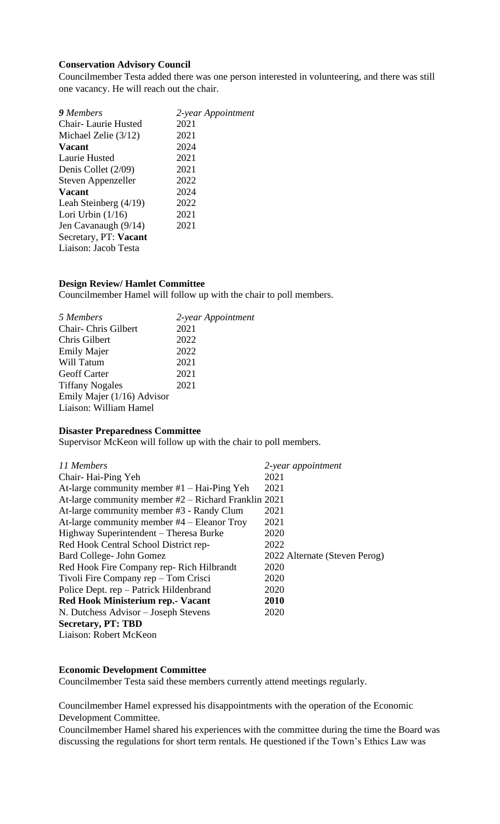## **Conservation Advisory Council**

Councilmember Testa added there was one person interested in volunteering, and there was still one vacancy. He will reach out the chair.

| 9 Members                  | 2-year Appointment |
|----------------------------|--------------------|
| <b>Chair-Laurie Husted</b> | 2021               |
| Michael Zelie $(3/12)$     | 2021               |
| <b>Vacant</b>              | 2024               |
| Laurie Husted              | 2021               |
| Denis Collet (2/09)        | 2021               |
| Steven Appenzeller         | 2022               |
| <b>Vacant</b>              | 2024               |
| Leah Steinberg $(4/19)$    | 2022               |
| Lori Urbin $(1/16)$        | 2021               |
| Jen Cavanaugh (9/14)       | 2021               |
| Secretary, PT: Vacant      |                    |
| Liaison: Jacob Testa       |                    |
|                            |                    |

# **Design Review/ Hamlet Committee**

Councilmember Hamel will follow up with the chair to poll members.

| 5 Members                  | 2-year Appointment |
|----------------------------|--------------------|
| Chair- Chris Gilbert       | 2021               |
| Chris Gilbert              | 2022               |
| <b>Emily Majer</b>         | 2022               |
| Will Tatum                 | 2021               |
| <b>Geoff Carter</b>        | 2021               |
| <b>Tiffany Nogales</b>     | 2021               |
| Emily Majer (1/16) Advisor |                    |
| Liaison: William Hamel     |                    |

#### **Disaster Preparedness Committee**

Supervisor McKeon will follow up with the chair to poll members.

| 11 Members                                             | 2-year appointment            |
|--------------------------------------------------------|-------------------------------|
| Chair-Hai-Ping Yeh                                     | 2021                          |
| At-large community member $#1$ – Hai-Ping Yeh          | 2021                          |
| At-large community member $#2$ – Richard Franklin 2021 |                               |
| At-large community member #3 - Randy Clum              | 2021                          |
| At-large community member #4 – Eleanor Troy            | 2021                          |
| Highway Superintendent – Theresa Burke                 | 2020                          |
| Red Hook Central School District rep-                  | 2022                          |
| Bard College- John Gomez                               | 2022 Alternate (Steven Perog) |
| Red Hook Fire Company rep-Rich Hilbrandt               | 2020                          |
| Tivoli Fire Company rep – Tom Crisci                   | 2020                          |
| Police Dept. rep – Patrick Hildenbrand                 | 2020                          |
| Red Hook Ministerium rep. - Vacant                     | 2010                          |
| N. Dutchess Advisor – Joseph Stevens                   | 2020                          |
| <b>Secretary, PT: TBD</b>                              |                               |
| Liaison: Robert McKeon                                 |                               |

#### **Economic Development Committee**

Councilmember Testa said these members currently attend meetings regularly.

Councilmember Hamel expressed his disappointments with the operation of the Economic Development Committee.

Councilmember Hamel shared his experiences with the committee during the time the Board was discussing the regulations for short term rentals. He questioned if the Town's Ethics Law was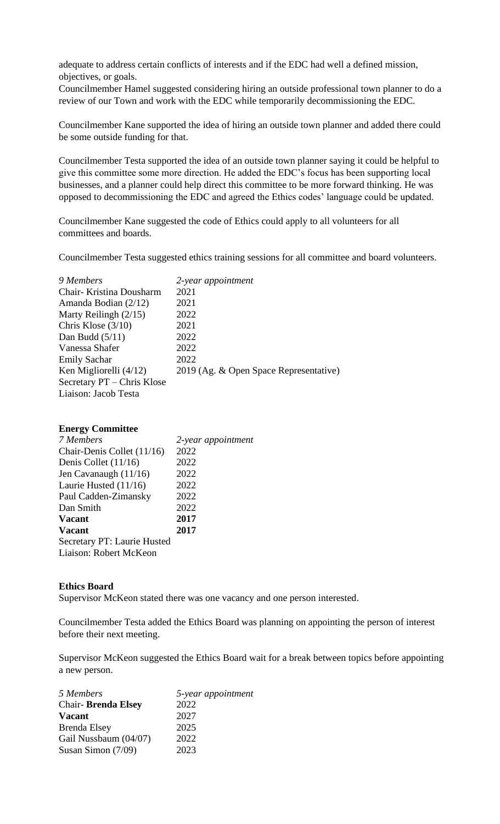adequate to address certain conflicts of interests and if the EDC had well a defined mission, objectives, or goals.

Councilmember Hamel suggested considering hiring an outside professional town planner to do a review of our Town and work with the EDC while temporarily decommissioning the EDC.

Councilmember Kane supported the idea of hiring an outside town planner and added there could be some outside funding for that.

Councilmember Testa supported the idea of an outside town planner saying it could be helpful to give this committee some more direction. He added the EDC's focus has been supporting local businesses, and a planner could help direct this committee to be more forward thinking. He was opposed to decommissioning the EDC and agreed the Ethics codes' language could be updated.

Councilmember Kane suggested the code of Ethics could apply to all volunteers for all committees and boards.

Councilmember Testa suggested ethics training sessions for all committee and board volunteers.

| 9 Members                  | 2-year appointment                     |
|----------------------------|----------------------------------------|
| Chair- Kristina Dousharm   | 2021                                   |
| Amanda Bodian (2/12)       | 2021                                   |
| Marty Reilingh $(2/15)$    | 2022                                   |
| Chris Klose $(3/10)$       | 2021                                   |
| Dan Budd $(5/11)$          | 2022                                   |
| Vanessa Shafer             | 2022                                   |
| <b>Emily Sachar</b>        | 2022                                   |
| Ken Migliorelli (4/12)     | 2019 (Ag. & Open Space Representative) |
| Secretary PT - Chris Klose |                                        |
| Liaison: Jacob Testa       |                                        |

## **Energy Committee**

| 7 Members                   | 2-year appointment |
|-----------------------------|--------------------|
| Chair-Denis Collet (11/16)  | 2022               |
| Denis Collet $(11/16)$      | 2022               |
| Jen Cavanaugh $(11/16)$     | 2022               |
| Laurie Husted $(11/16)$     | 2022               |
| Paul Cadden-Zimansky        | 2022               |
| Dan Smith                   | 2022               |
| <b>Vacant</b>               | 2017               |
| <b>Vacant</b>               | 2017               |
| Secretary PT: Laurie Husted |                    |
| Liaison: Robert McKeon      |                    |

#### **Ethics Board**

Supervisor McKeon stated there was one vacancy and one person interested.

Councilmember Testa added the Ethics Board was planning on appointing the person of interest before their next meeting.

Supervisor McKeon suggested the Ethics Board wait for a break between topics before appointing a new person.

| 5 Members                 | 5-year appointment |
|---------------------------|--------------------|
| <b>Chair-Brenda Elsey</b> | 2022               |
| <b>Vacant</b>             | 2027               |
| <b>Brenda Elsey</b>       | 2025               |
| Gail Nussbaum (04/07)     | 2022               |
| Susan Simon (7/09)        | 2023               |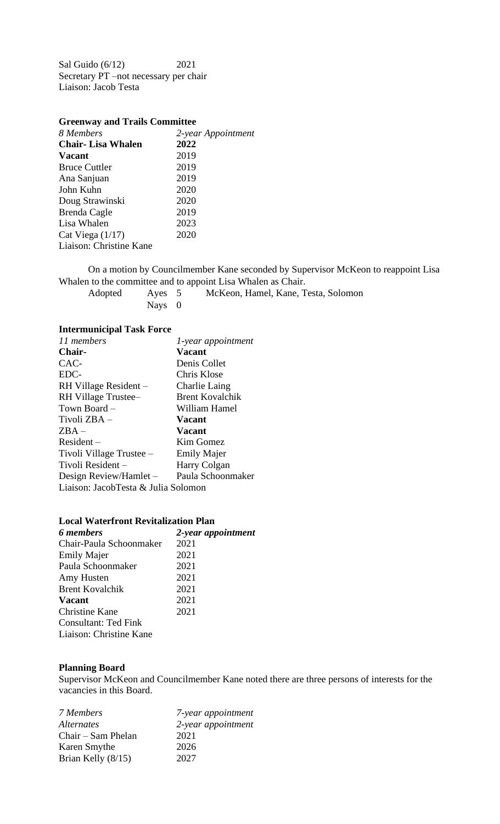Sal Guido (6/12) 2021 Secretary PT –not necessary per chair Liaison: Jacob Testa

| <b>Greenway and Trails Committee</b> |                    |  |
|--------------------------------------|--------------------|--|
| 8 Members                            | 2-year Appointment |  |
| <b>Chair-Lisa Whalen</b>             | 2022               |  |
| <b>Vacant</b>                        | 2019               |  |
| <b>Bruce Cuttler</b>                 | 2019               |  |
| Ana Sanjuan                          | 2019               |  |
| John Kuhn                            | 2020               |  |
| Doug Strawinski                      | 2020               |  |
| Brenda Cagle                         | 2019               |  |
| Lisa Whalen                          | 2023               |  |
| Cat Viega $(1/17)$                   | 2020               |  |
| Liaison: Christine Kane              |                    |  |

On a motion by Councilmember Kane seconded by Supervisor McKeon to reappoint Lisa Whalen to the committee and to appoint Lisa Whalen as Chair.

| Adopted | Aves 5 | McKeon, Hamel, Kane, Testa, Solomon |
|---------|--------|-------------------------------------|
|         | Navs 0 |                                     |

## **Intermunicipal Task Force**

| 11 members                          | 1-year appointment     |
|-------------------------------------|------------------------|
| Chair-                              | <b>Vacant</b>          |
| CAC-                                | Denis Collet           |
| EDC-                                | Chris Klose            |
| RH Village Resident -               | Charlie Laing          |
| RH Village Trustee-                 | <b>Brent Kovalchik</b> |
| Town Board -                        | William Hamel          |
| Tivoli ZBA -                        | <b>Vacant</b>          |
| $ZBA -$                             | <b>Vacant</b>          |
| $Resident -$                        | Kim Gomez              |
| Tivoli Village Trustee -            | <b>Emily Majer</b>     |
| Tivoli Resident-                    | Harry Colgan           |
| Design Review/Hamlet -              | Paula Schoonmaker      |
| Liaison: JacobTesta & Julia Solomon |                        |

### **Local Waterfront Revitalization Plan**

| 6 members               | 2-year appointment |
|-------------------------|--------------------|
| Chair-Paula Schoonmaker | 2021               |
| <b>Emily Majer</b>      | 2021               |
| Paula Schoonmaker       | 2021               |
| Amy Husten              | 2021               |
| <b>Brent Kovalchik</b>  | 2021               |
| <b>Vacant</b>           | 2021               |
| Christine Kane          | 2021               |
| Consultant: Ted Fink    |                    |
| Liaison: Christine Kane |                    |

## **Planning Board**

Supervisor McKeon and Councilmember Kane noted there are three persons of interests for the vacancies in this Board.

| 7 Members            | 7-year appointment |
|----------------------|--------------------|
| <i>Alternates</i>    | 2-year appointment |
| Chair – Sam Phelan   | 2021               |
| Karen Smythe         | 2026               |
| Brian Kelly $(8/15)$ | 2027               |
|                      |                    |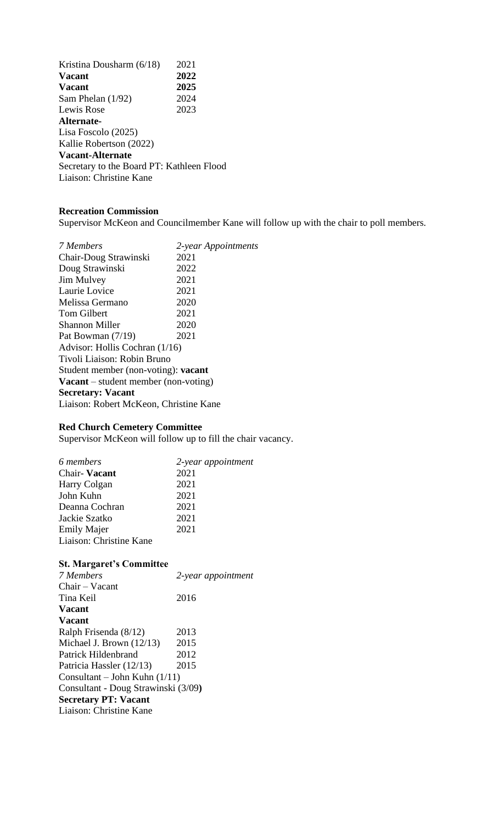Kristina Dousharm (6/18) 2021<br>Vacant 2022 **Vacant Vacant 2025** Sam Phelan (1/92) 2024 Lewis Rose 2023 **Alternate-**Lisa Foscolo (2025) Kallie Robertson (2022) **Vacant-Alternate**  Secretary to the Board PT: Kathleen Flood Liaison: Christine Kane

## **Recreation Commission**

Supervisor McKeon and Councilmember Kane will follow up with the chair to poll members.

| 7 Members                                   | 2-year Appointments |  |
|---------------------------------------------|---------------------|--|
| Chair-Doug Strawinski                       | 2021                |  |
| Doug Strawinski                             | 2022                |  |
| <b>Jim Mulvey</b>                           | 2021                |  |
| Laurie Lovice                               | 2021                |  |
| Melissa Germano                             | 2020                |  |
| <b>Tom Gilbert</b>                          | 2021                |  |
| <b>Shannon Miller</b>                       | 2020                |  |
| Pat Bowman $(7/19)$                         | 2021                |  |
| Advisor: Hollis Cochran (1/16)              |                     |  |
| Tivoli Liaison: Robin Bruno                 |                     |  |
| Student member (non-voting): <b>vacant</b>  |                     |  |
| <b>Vacant</b> – student member (non-voting) |                     |  |
| <b>Secretary: Vacant</b>                    |                     |  |
| Liaison: Robert McKeon, Christine Kane      |                     |  |

### **Red Church Cemetery Committee**

Supervisor McKeon will follow up to fill the chair vacancy.

| 6 members               | 2-year appointment |
|-------------------------|--------------------|
| Chair-Vacant            | 2021               |
| Harry Colgan            | 2021               |
| John Kuhn               | 2021               |
| Deanna Cochran          | 2021               |
| Jackie Szatko           | 2021               |
| <b>Emily Majer</b>      | 2021               |
| Liaison: Christine Kane |                    |

# **St. Margaret's Committee**

| 7 Members                           | 2-year appointment |
|-------------------------------------|--------------------|
| Chair - Vacant                      |                    |
| Tina Keil                           | 2016               |
| <b>Vacant</b>                       |                    |
| <b>Vacant</b>                       |                    |
| Ralph Frisenda (8/12)               | 2013               |
| Michael J. Brown (12/13)            | 2015               |
| Patrick Hildenbrand                 | 2012               |
| Patricia Hassler (12/13)            | 2015               |
| Consultant – John Kuhn $(1/11)$     |                    |
| Consultant - Doug Strawinski (3/09) |                    |
| <b>Secretary PT: Vacant</b>         |                    |
| Liaison: Christine Kane             |                    |
|                                     |                    |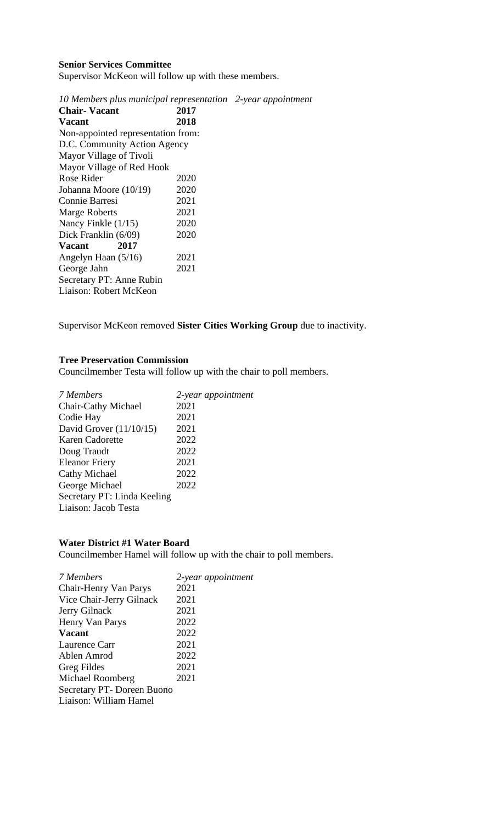## **Senior Services Committee**

Supervisor McKeon will follow up with these members.

| 10 Members plus municipal representation 2-year appointment |      |  |
|-------------------------------------------------------------|------|--|
| <b>Chair-Vacant</b>                                         | 2017 |  |
| <b>Vacant</b>                                               | 2018 |  |
| Non-appointed representation from:                          |      |  |
| D.C. Community Action Agency                                |      |  |
| Mayor Village of Tivoli                                     |      |  |
| Mayor Village of Red Hook                                   |      |  |
| Rose Rider                                                  | 2020 |  |
| Johanna Moore (10/19)                                       | 2020 |  |
| Connie Barresi                                              | 2021 |  |
| <b>Marge Roberts</b>                                        | 2021 |  |
| Nancy Finkle $(1/15)$                                       | 2020 |  |
| Dick Franklin (6/09)                                        | 2020 |  |
| 2017<br><b>Vacant</b>                                       |      |  |
| Angelyn Haan (5/16)                                         | 2021 |  |
| George Jahn                                                 | 2021 |  |
| Secretary PT: Anne Rubin                                    |      |  |
| Liaison: Robert McKeon                                      |      |  |

Supervisor McKeon removed **Sister Cities Working Group** due to inactivity.

### **Tree Preservation Commission**

Councilmember Testa will follow up with the chair to poll members.

| 7 Members                   | 2-year appointment |
|-----------------------------|--------------------|
| Chair-Cathy Michael         | 2021               |
| Codie Hay                   | 2021               |
| David Grover $(11/10/15)$   | 2021               |
| Karen Cadorette             | 2022               |
| Doug Traudt                 | 2022               |
| <b>Eleanor Friery</b>       | 2021               |
| <b>Cathy Michael</b>        | 2022               |
| George Michael              | 2022               |
| Secretary PT: Linda Keeling |                    |
| Liaison: Jacob Testa        |                    |
|                             |                    |

# **Water District #1 Water Board**

Councilmember Hamel will follow up with the chair to poll members.

| 7 Members                 | 2-year appointment |
|---------------------------|--------------------|
| Chair-Henry Van Parys     | 2021               |
| Vice Chair-Jerry Gilnack  | 2021               |
| Jerry Gilnack             | 2021               |
| Henry Van Parys           | 2022               |
| <b>Vacant</b>             | 2022               |
| Laurence Carr             | 2021               |
| Ablen Amrod               | 2022               |
| Greg Fildes               | 2021               |
| Michael Roomberg          | 2021               |
| Secretary PT-Doreen Buono |                    |
| Liaison: William Hamel    |                    |
|                           |                    |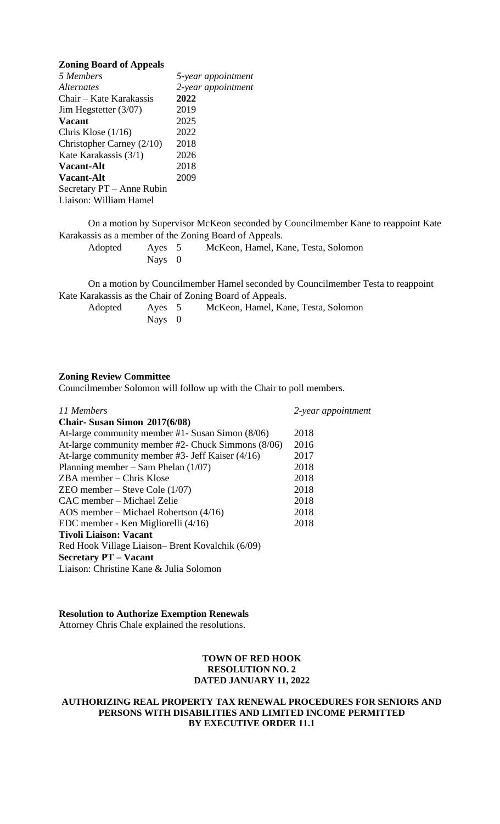#### **Zoning Board of Appeals**

| 5 Members                   | 5-year appointment |
|-----------------------------|--------------------|
| <i>Alternates</i>           | 2-year appointment |
| Chair – Kate Karakassis     | 2022               |
| Jim Hegstetter $(3/07)$     | 2019               |
| <b>Vacant</b>               | 2025               |
| Chris Klose $(1/16)$        | 2022               |
| Christopher Carney $(2/10)$ | 2018               |
| Kate Karakassis (3/1)       | 2026               |
| <b>Vacant-Alt</b>           | 2018               |
| <b>Vacant-Alt</b>           | 2009               |
| Secretary PT – Anne Rubin   |                    |
| Liaison: William Hamel      |                    |

On a motion by Supervisor McKeon seconded by Councilmember Kane to reappoint Kate Karakassis as a member of the Zoning Board of Appeals.

| Adopted | Ayes 5 | McKeon, Hamel, Kane, Testa, Solomon |
|---------|--------|-------------------------------------|
|         | Nays 0 |                                     |

On a motion by Councilmember Hamel seconded by Councilmember Testa to reappoint Kate Karakassis as the Chair of Zoning Board of Appeals.

| Adopted | Ayes 5 | McKeon, Hamel, Kane, Testa, Solomon |
|---------|--------|-------------------------------------|
|         | Nays 0 |                                     |

#### **Zoning Review Committee**

Councilmember Solomon will follow up with the Chair to poll members.

| 11 Members                                         | 2-year appointment |
|----------------------------------------------------|--------------------|
| Chair-Susan Simon 2017(6/08)                       |                    |
| At-large community member #1- Susan Simon (8/06)   | 2018               |
| At-large community member #2- Chuck Simmons (8/06) | 2016               |
| At-large community member #3- Jeff Kaiser $(4/16)$ | 2017               |
| Planning member – Sam Phelan $(1/07)$              | 2018               |
| $ZBA$ member – Chris Klose                         | 2018               |
| $ZEO$ member – Steve Cole $(1/07)$                 | 2018               |
| CAC member – Michael Zelie                         | 2018               |
| AOS member – Michael Robertson $(4/16)$            | 2018               |
| EDC member - Ken Migliorelli (4/16)                | 2018               |
| <b>Tivoli Liaison: Vacant</b>                      |                    |
| Red Hook Village Liaison– Brent Kovalchik (6/09)   |                    |
| <b>Secretary PT – Vacant</b>                       |                    |
| Liaison: Christine Kane & Julia Solomon            |                    |

## **Resolution to Authorize Exemption Renewals**

Attorney Chris Chale explained the resolutions.

### **TOWN OF RED HOOK RESOLUTION NO. 2 DATED JANUARY 11, 2022**

### **AUTHORIZING REAL PROPERTY TAX RENEWAL PROCEDURES FOR SENIORS AND PERSONS WITH DISABILITIES AND LIMITED INCOME PERMITTED BY EXECUTIVE ORDER 11.1**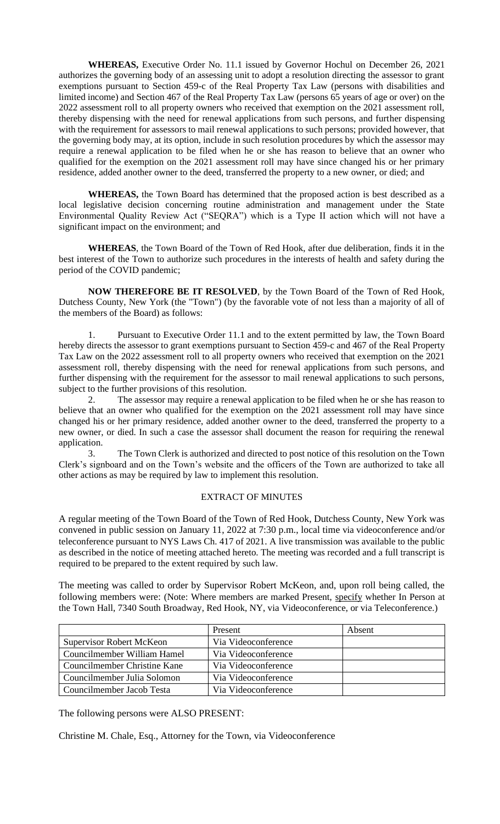**WHEREAS,** Executive Order No. 11.1 issued by Governor Hochul on December 26, 2021 authorizes the governing body of an assessing unit to adopt a resolution directing the assessor to grant exemptions pursuant to Section 459-c of the Real Property Tax Law (persons with disabilities and limited income) and Section 467 of the Real Property Tax Law (persons 65 years of age or over) on the 2022 assessment roll to all property owners who received that exemption on the 2021 assessment roll, thereby dispensing with the need for renewal applications from such persons, and further dispensing with the requirement for assessors to mail renewal applications to such persons; provided however, that the governing body may, at its option, include in such resolution procedures by which the assessor may require a renewal application to be filed when he or she has reason to believe that an owner who qualified for the exemption on the 2021 assessment roll may have since changed his or her primary residence, added another owner to the deed, transferred the property to a new owner, or died; and

**WHEREAS,** the Town Board has determined that the proposed action is best described as a local legislative decision concerning routine administration and management under the State Environmental Quality Review Act ("SEQRA") which is a Type II action which will not have a significant impact on the environment; and

**WHEREAS**, the Town Board of the Town of Red Hook, after due deliberation, finds it in the best interest of the Town to authorize such procedures in the interests of health and safety during the period of the COVID pandemic;

**NOW THEREFORE BE IT RESOLVED**, by the Town Board of the Town of Red Hook, Dutchess County, New York (the "Town") (by the favorable vote of not less than a majority of all of the members of the Board) as follows:

1. Pursuant to Executive Order 11.1 and to the extent permitted by law, the Town Board hereby directs the assessor to grant exemptions pursuant to Section 459-c and 467 of the Real Property Tax Law on the 2022 assessment roll to all property owners who received that exemption on the 2021 assessment roll, thereby dispensing with the need for renewal applications from such persons, and further dispensing with the requirement for the assessor to mail renewal applications to such persons, subject to the further provisions of this resolution.

2. The assessor may require a renewal application to be filed when he or she has reason to believe that an owner who qualified for the exemption on the 2021 assessment roll may have since changed his or her primary residence, added another owner to the deed, transferred the property to a new owner, or died. In such a case the assessor shall document the reason for requiring the renewal application.

3. The Town Clerk is authorized and directed to post notice of this resolution on the Town Clerk's signboard and on the Town's website and the officers of the Town are authorized to take all other actions as may be required by law to implement this resolution.

#### EXTRACT OF MINUTES

A regular meeting of the Town Board of the Town of Red Hook, Dutchess County, New York was convened in public session on January 11, 2022 at 7:30 p.m., local time via videoconference and/or teleconference pursuant to NYS Laws Ch. 417 of 2021. A live transmission was available to the public as described in the notice of meeting attached hereto. The meeting was recorded and a full transcript is required to be prepared to the extent required by such law.

The meeting was called to order by Supervisor Robert McKeon, and, upon roll being called, the following members were: (Note: Where members are marked Present, specify whether In Person at the Town Hall, 7340 South Broadway, Red Hook, NY, via Videoconference, or via Teleconference.)

|                                 | Present             | Absent |
|---------------------------------|---------------------|--------|
| <b>Supervisor Robert McKeon</b> | Via Videoconference |        |
| Councilmember William Hamel     | Via Videoconference |        |
| Councilmember Christine Kane    | Via Videoconference |        |
| Councilmember Julia Solomon     | Via Videoconference |        |
| Councilmember Jacob Testa       | Via Videoconference |        |

The following persons were ALSO PRESENT:

Christine M. Chale, Esq., Attorney for the Town, via Videoconference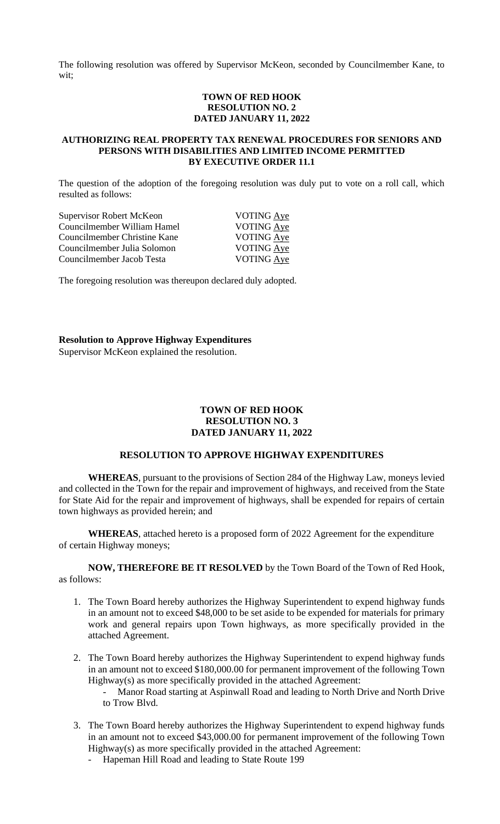The following resolution was offered by Supervisor McKeon, seconded by Councilmember Kane, to wit;

### **TOWN OF RED HOOK RESOLUTION NO. 2 DATED JANUARY 11, 2022**

#### **AUTHORIZING REAL PROPERTY TAX RENEWAL PROCEDURES FOR SENIORS AND PERSONS WITH DISABILITIES AND LIMITED INCOME PERMITTED BY EXECUTIVE ORDER 11.1**

The question of the adoption of the foregoing resolution was duly put to vote on a roll call, which resulted as follows:

| Supervisor Robert McKeon     | <b>VOTING</b> Aye |
|------------------------------|-------------------|
| Councilmember William Hamel  | <b>VOTING Aye</b> |
| Councilmember Christine Kane | VOTING Aye        |
| Councilmember Julia Solomon  | VOTING Aye        |
| Councilmember Jacob Testa    | VOTING Aye        |
|                              |                   |

The foregoing resolution was thereupon declared duly adopted.

**Resolution to Approve Highway Expenditures**

Supervisor McKeon explained the resolution.

## **TOWN OF RED HOOK RESOLUTION NO. 3 DATED JANUARY 11, 2022**

## **RESOLUTION TO APPROVE HIGHWAY EXPENDITURES**

**WHEREAS**, pursuant to the provisions of Section 284 of the Highway Law, moneys levied and collected in the Town for the repair and improvement of highways, and received from the State for State Aid for the repair and improvement of highways, shall be expended for repairs of certain town highways as provided herein; and

**WHEREAS**, attached hereto is a proposed form of 2022 Agreement for the expenditure of certain Highway moneys;

**NOW, THEREFORE BE IT RESOLVED** by the Town Board of the Town of Red Hook, as follows:

- 1. The Town Board hereby authorizes the Highway Superintendent to expend highway funds in an amount not to exceed \$48,000 to be set aside to be expended for materials for primary work and general repairs upon Town highways, as more specifically provided in the attached Agreement.
- 2. The Town Board hereby authorizes the Highway Superintendent to expend highway funds in an amount not to exceed \$180,000.00 for permanent improvement of the following Town Highway(s) as more specifically provided in the attached Agreement:
	- Manor Road starting at Aspinwall Road and leading to North Drive and North Drive to Trow Blvd.
- 3. The Town Board hereby authorizes the Highway Superintendent to expend highway funds in an amount not to exceed \$43,000.00 for permanent improvement of the following Town Highway(s) as more specifically provided in the attached Agreement:
	- Hapeman Hill Road and leading to State Route 199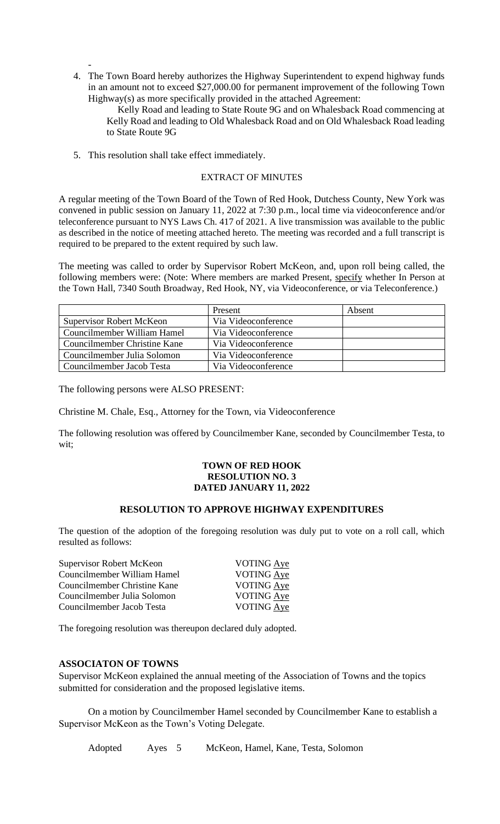- 4. The Town Board hereby authorizes the Highway Superintendent to expend highway funds in an amount not to exceed \$27,000.00 for permanent improvement of the following Town Highway(s) as more specifically provided in the attached Agreement:

Kelly Road and leading to State Route 9G and on Whalesback Road commencing at Kelly Road and leading to Old Whalesback Road and on Old Whalesback Road leading to State Route 9G

5. This resolution shall take effect immediately.

## EXTRACT OF MINUTES

A regular meeting of the Town Board of the Town of Red Hook, Dutchess County, New York was convened in public session on January 11, 2022 at 7:30 p.m., local time via videoconference and/or teleconference pursuant to NYS Laws Ch. 417 of 2021. A live transmission was available to the public as described in the notice of meeting attached hereto. The meeting was recorded and a full transcript is required to be prepared to the extent required by such law.

The meeting was called to order by Supervisor Robert McKeon, and, upon roll being called, the following members were: (Note: Where members are marked Present, specify whether In Person at the Town Hall, 7340 South Broadway, Red Hook, NY, via Videoconference, or via Teleconference.)

|                                 | Present             | Absent |
|---------------------------------|---------------------|--------|
| <b>Supervisor Robert McKeon</b> | Via Videoconference |        |
| Councilmember William Hamel     | Via Videoconference |        |
| Councilmember Christine Kane    | Via Videoconference |        |
| Councilmember Julia Solomon     | Via Videoconference |        |
| Councilmember Jacob Testa       | Via Videoconference |        |

The following persons were ALSO PRESENT:

Christine M. Chale, Esq., Attorney for the Town, via Videoconference

The following resolution was offered by Councilmember Kane, seconded by Councilmember Testa, to wit;

#### **TOWN OF RED HOOK RESOLUTION NO. 3 DATED JANUARY 11, 2022**

# **RESOLUTION TO APPROVE HIGHWAY EXPENDITURES**

The question of the adoption of the foregoing resolution was duly put to vote on a roll call, which resulted as follows:

| Supervisor Robert McKeon     | <b>VOTING Aye</b> |
|------------------------------|-------------------|
| Councilmember William Hamel  | VOTING Aye        |
| Councilmember Christine Kane | <b>VOTING Aye</b> |
| Councilmember Julia Solomon  | <b>VOTING Aye</b> |
| Councilmember Jacob Testa    | VOTING Aye        |
|                              |                   |

The foregoing resolution was thereupon declared duly adopted.

## **ASSOCIATON OF TOWNS**

Supervisor McKeon explained the annual meeting of the Association of Towns and the topics submitted for consideration and the proposed legislative items.

On a motion by Councilmember Hamel seconded by Councilmember Kane to establish a Supervisor McKeon as the Town's Voting Delegate.

Adopted Ayes 5 McKeon, Hamel, Kane, Testa, Solomon